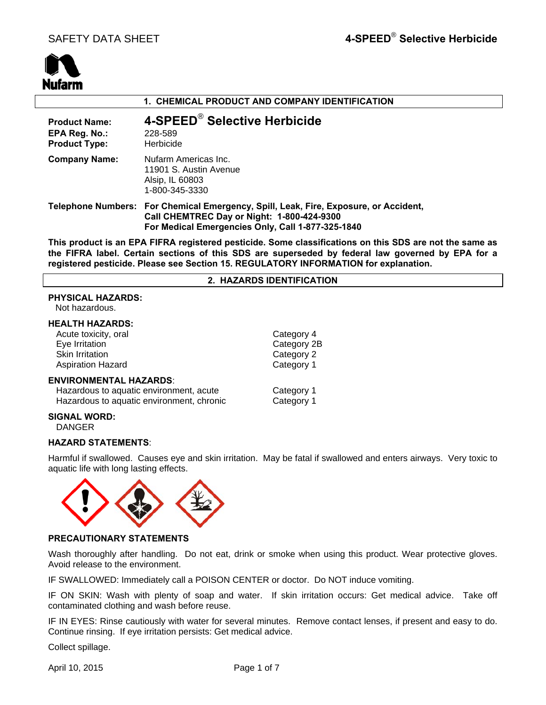

# **1. CHEMICAL PRODUCT AND COMPANY IDENTIFICATION**

| <b>Product Name:</b><br>EPA Reg. No.:<br><b>Product Type:</b> | 4-SPEED® Selective Herbicide<br>228-589<br>Herbicide                                                                                                                                    |
|---------------------------------------------------------------|-----------------------------------------------------------------------------------------------------------------------------------------------------------------------------------------|
| <b>Company Name:</b>                                          | Nufarm Americas Inc.<br>11901 S. Austin Avenue<br>Alsip, IL 60803<br>1-800-345-3330                                                                                                     |
|                                                               | Telephone Numbers: For Chemical Emergency, Spill, Leak, Fire, Exposure, or Accident,<br>Call CHEMTREC Day or Night: 1-800-424-9300<br>For Medical Emergencies Only, Call 1-877-325-1840 |

**This product is an EPA FIFRA registered pesticide. Some classifications on this SDS are not the same as the FIFRA label. Certain sections of this SDS are superseded by federal law governed by EPA for a registered pesticide. Please see Section 15. REGULATORY INFORMATION for explanation.**

## **2. HAZARDS IDENTIFICATION**

## **PHYSICAL HAZARDS:**

Not hazardous.

## **HEALTH HAZARDS:**

| Acute toxicity, oral                      | Category 4  |
|-------------------------------------------|-------------|
| Eye Irritation                            | Category 2B |
| <b>Skin Irritation</b>                    | Category 2  |
| <b>Aspiration Hazard</b>                  | Category 1  |
| <b>ENVIRONMENTAL HAZARDS:</b>             |             |
| Hazardous to aquatic environment, acute   | Category 1  |
| Hazardous to aquatic environment, chronic | Category 1  |

# **SIGNAL WORD:**

DANGER

# **HAZARD STATEMENTS**:

Harmful if swallowed. Causes eye and skin irritation. May be fatal if swallowed and enters airways. Very toxic to aquatic life with long lasting effects.



# **PRECAUTIONARY STATEMENTS**

Wash thoroughly after handling. Do not eat, drink or smoke when using this product. Wear protective gloves. Avoid release to the environment.

IF SWALLOWED: Immediately call a POISON CENTER or doctor. Do NOT induce vomiting.

IF ON SKIN: Wash with plenty of soap and water. If skin irritation occurs: Get medical advice. Take off contaminated clothing and wash before reuse.

IF IN EYES: Rinse cautiously with water for several minutes. Remove contact lenses, if present and easy to do. Continue rinsing. If eye irritation persists: Get medical advice.

Collect spillage.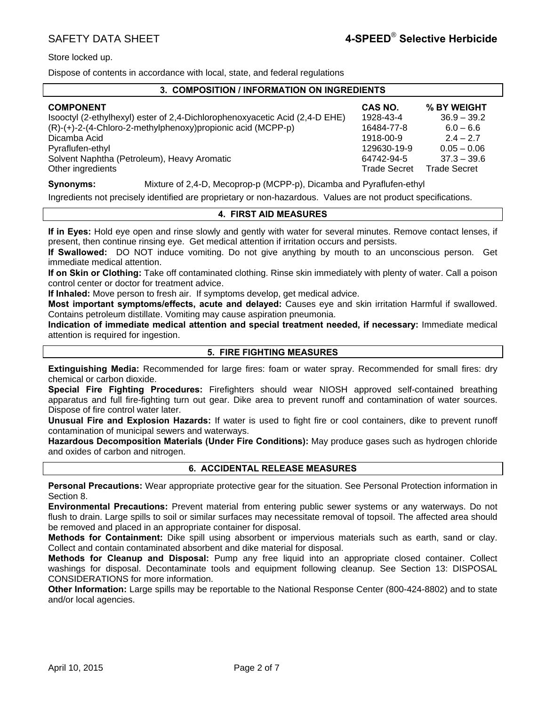Store locked up.

Dispose of contents in accordance with local, state, and federal regulations

# **3. COMPOSITION / INFORMATION ON INGREDIENTS**

| <b>COMPONENT</b>                                                            | CAS NO.             | % BY WEIGHT         |
|-----------------------------------------------------------------------------|---------------------|---------------------|
| Isooctyl (2-ethylhexyl) ester of 2,4-Dichlorophenoxyacetic Acid (2,4-D EHE) | 1928-43-4           | $36.9 - 39.2$       |
| $(R)-(+)$ -2- $(4$ -Chloro-2-methylphenoxy) propionic acid (MCPP-p)         | 16484-77-8          | $6.0 - 6.6$         |
| Dicamba Acid                                                                | 1918-00-9           | $2.4 - 2.7$         |
| Pyraflufen-ethyl                                                            | 129630-19-9         | $0.05 - 0.06$       |
| Solvent Naphtha (Petroleum), Heavy Aromatic                                 | 64742-94-5          | $37.3 - 39.6$       |
| Other ingredients                                                           | <b>Trade Secret</b> | <b>Trade Secret</b> |

**Synonyms:** Mixture of 2,4-D, Mecoprop-p (MCPP-p), Dicamba and Pyraflufen-ethyl

Ingredients not precisely identified are proprietary or non-hazardous. Values are not product specifications.

# **4. FIRST AID MEASURES**

**If in Eyes:** Hold eye open and rinse slowly and gently with water for several minutes. Remove contact lenses, if present, then continue rinsing eye. Get medical attention if irritation occurs and persists.

**If Swallowed:** DO NOT induce vomiting. Do not give anything by mouth to an unconscious person. Get immediate medical attention.

**If on Skin or Clothing:** Take off contaminated clothing. Rinse skin immediately with plenty of water. Call a poison control center or doctor for treatment advice.

**If Inhaled:** Move person to fresh air. If symptoms develop, get medical advice.

**Most important symptoms/effects, acute and delayed:** Causes eye and skin irritation Harmful if swallowed. Contains petroleum distillate. Vomiting may cause aspiration pneumonia.

**Indication of immediate medical attention and special treatment needed, if necessary:** Immediate medical attention is required for ingestion.

# **5. FIRE FIGHTING MEASURES**

**Extinguishing Media:** Recommended for large fires: foam or water spray. Recommended for small fires: dry chemical or carbon dioxide.

**Special Fire Fighting Procedures:** Firefighters should wear NIOSH approved self-contained breathing apparatus and full fire-fighting turn out gear. Dike area to prevent runoff and contamination of water sources. Dispose of fire control water later.

**Unusual Fire and Explosion Hazards:** If water is used to fight fire or cool containers, dike to prevent runoff contamination of municipal sewers and waterways.

**Hazardous Decomposition Materials (Under Fire Conditions):** May produce gases such as hydrogen chloride and oxides of carbon and nitrogen.

# **6. ACCIDENTAL RELEASE MEASURES**

**Personal Precautions:** Wear appropriate protective gear for the situation. See Personal Protection information in Section 8.

**Environmental Precautions:** Prevent material from entering public sewer systems or any waterways. Do not flush to drain. Large spills to soil or similar surfaces may necessitate removal of topsoil. The affected area should be removed and placed in an appropriate container for disposal.

**Methods for Containment:** Dike spill using absorbent or impervious materials such as earth, sand or clay. Collect and contain contaminated absorbent and dike material for disposal.

**Methods for Cleanup and Disposal:** Pump any free liquid into an appropriate closed container. Collect washings for disposal. Decontaminate tools and equipment following cleanup. See Section 13: DISPOSAL CONSIDERATIONS for more information.

**Other Information:** Large spills may be reportable to the National Response Center (800-424-8802) and to state and/or local agencies.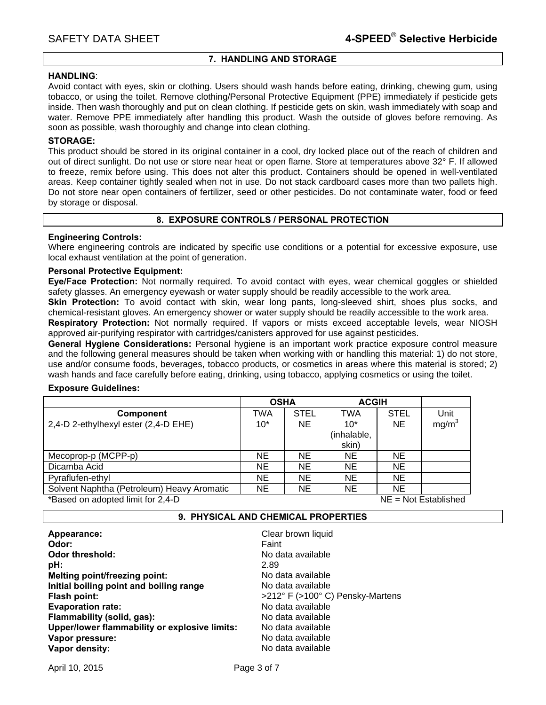# **7. HANDLING AND STORAGE**

## **HANDLING**:

Avoid contact with eyes, skin or clothing. Users should wash hands before eating, drinking, chewing gum, using tobacco, or using the toilet. Remove clothing/Personal Protective Equipment (PPE) immediately if pesticide gets inside. Then wash thoroughly and put on clean clothing. If pesticide gets on skin, wash immediately with soap and water. Remove PPE immediately after handling this product. Wash the outside of gloves before removing. As soon as possible, wash thoroughly and change into clean clothing.

## **STORAGE:**

This product should be stored in its original container in a cool, dry locked place out of the reach of children and out of direct sunlight. Do not use or store near heat or open flame. Store at temperatures above 32° F. If allowed to freeze, remix before using. This does not alter this product. Containers should be opened in well-ventilated areas. Keep container tightly sealed when not in use. Do not stack cardboard cases more than two pallets high. Do not store near open containers of fertilizer, seed or other pesticides. Do not contaminate water, food or feed by storage or disposal.

# **8. EXPOSURE CONTROLS / PERSONAL PROTECTION**

# **Engineering Controls:**

Where engineering controls are indicated by specific use conditions or a potential for excessive exposure, use local exhaust ventilation at the point of generation.

# **Personal Protective Equipment:**

**Eye/Face Protection:** Not normally required. To avoid contact with eyes, wear chemical goggles or shielded safety glasses. An emergency eyewash or water supply should be readily accessible to the work area.

**Skin Protection:** To avoid contact with skin, wear long pants, long-sleeved shirt, shoes plus socks, and chemical-resistant gloves. An emergency shower or water supply should be readily accessible to the work area.

**Respiratory Protection:** Not normally required. If vapors or mists exceed acceptable levels, wear NIOSH approved air-purifying respirator with cartridges/canisters approved for use against pesticides.

**General Hygiene Considerations:** Personal hygiene is an important work practice exposure control measure and the following general measures should be taken when working with or handling this material: 1) do not store, use and/or consume foods, beverages, tobacco products, or cosmetics in areas where this material is stored; 2) wash hands and face carefully before eating, drinking, using tobacco, applying cosmetics or using the toilet.

## **Exposure Guidelines:**

|                                            | <b>OSHA</b> |             | <b>ACGIH</b> |             |                        |
|--------------------------------------------|-------------|-------------|--------------|-------------|------------------------|
| <b>Component</b>                           | TWA         | <b>STEL</b> | <b>TWA</b>   | <b>STEL</b> | Unit                   |
| 2,4-D 2-ethylhexyl ester (2,4-D EHE)       | $10*$       | NE.         | $10*$        | NE          | mg/m <sup>3</sup>      |
|                                            |             |             | (inhalable,  |             |                        |
|                                            |             |             | skin)        |             |                        |
| Mecoprop-p (MCPP-p)                        | ΝE          | <b>NE</b>   | <b>NE</b>    | ΝE          |                        |
| Dicamba Acid                               | <b>NE</b>   | <b>NE</b>   | <b>NE</b>    | NE.         |                        |
| Pyraflufen-ethyl                           | ΝE          | <b>NE</b>   | <b>NE</b>    | <b>NE</b>   |                        |
| Solvent Naphtha (Petroleum) Heavy Aromatic | ΝE          | NE          | NE           | NE          |                        |
| *Based on adopted limit for 2,4-D          |             |             |              |             | $NE = Not$ Established |

# **9. PHYSICAL AND CHEMICAL PROPERTIES**

| Appearance:                                   | Clear brown liquid               |
|-----------------------------------------------|----------------------------------|
| Odor:                                         | Faint                            |
| <b>Odor threshold:</b>                        | No data available                |
| pH:                                           | 2.89                             |
| Melting point/freezing point:                 | No data available                |
| Initial boiling point and boiling range       | No data available                |
| Flash point:                                  | >212° F (>100° C) Pensky-Martens |
| <b>Evaporation rate:</b>                      | No data available                |
| Flammability (solid, gas):                    | No data available                |
| Upper/lower flammability or explosive limits: | No data available                |
| Vapor pressure:                               | No data available                |
| Vapor density:                                | No data available                |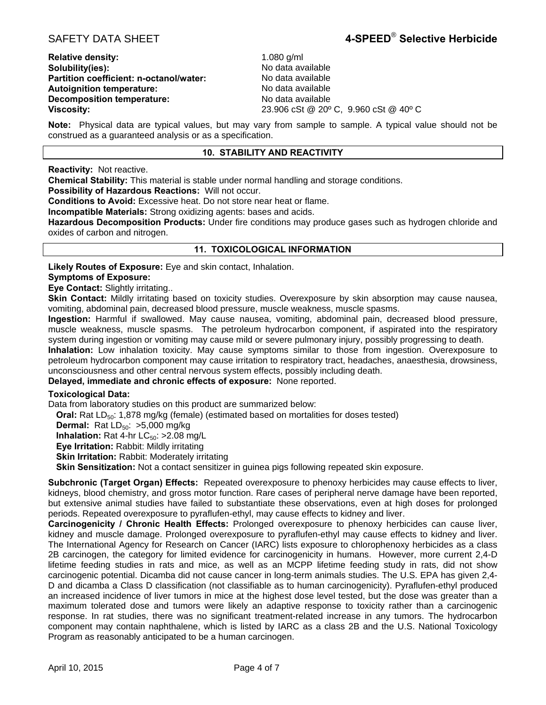**Relative density:** 1.080 g/ml **Solubility(ies): No data available No data available Partition coefficient: n-octanol/water:** No data available **Autoignition temperature:** No data available **Decomposition temperature:** No data available

**Viscosity:** 23.906 cSt @ 20º C, 9.960 cSt @ 40º C

**Note:** Physical data are typical values, but may vary from sample to sample. A typical value should not be construed as a guaranteed analysis or as a specification.

# **10. STABILITY AND REACTIVITY**

**Reactivity:** Not reactive.

**Chemical Stability:** This material is stable under normal handling and storage conditions.

**Possibility of Hazardous Reactions:** Will not occur.

**Conditions to Avoid:** Excessive heat. Do not store near heat or flame.

**Incompatible Materials:** Strong oxidizing agents: bases and acids.

**Hazardous Decomposition Products:** Under fire conditions may produce gases such as hydrogen chloride and oxides of carbon and nitrogen.

# **11. TOXICOLOGICAL INFORMATION**

**Likely Routes of Exposure:** Eye and skin contact, Inhalation.

# **Symptoms of Exposure:**

**Eye Contact:** Slightly irritating..

**Skin Contact:** Mildly irritating based on toxicity studies. Overexposure by skin absorption may cause nausea, vomiting, abdominal pain, decreased blood pressure, muscle weakness, muscle spasms.

**Ingestion:** Harmful if swallowed. May cause nausea, vomiting, abdominal pain, decreased blood pressure, muscle weakness, muscle spasms. The petroleum hydrocarbon component, if aspirated into the respiratory system during ingestion or vomiting may cause mild or severe pulmonary injury, possibly progressing to death.

**Inhalation:** Low inhalation toxicity. May cause symptoms similar to those from ingestion. Overexposure to petroleum hydrocarbon component may cause irritation to respiratory tract, headaches, anaesthesia, drowsiness, unconsciousness and other central nervous system effects, possibly including death.

**Delayed, immediate and chronic effects of exposure:** None reported.

# **Toxicological Data:**

Data from laboratory studies on this product are summarized below:

**Oral:** Rat LD<sub>50</sub>: 1,878 mg/kg (female) (estimated based on mortalities for doses tested)

**Dermal:** Rat  $LD_{50}$ :  $>5,000$  mg/kg

**Inhalation:** Rat 4-hr  $LC_{50}$ :  $>2.08$  mg/L

**Eye Irritation:** Rabbit: Mildly irritating

**Skin Irritation: Rabbit: Moderately irritating** 

**Skin Sensitization:** Not a contact sensitizer in guinea pigs following repeated skin exposure.

**Subchronic (Target Organ) Effects:** Repeated overexposure to phenoxy herbicides may cause effects to liver, kidneys, blood chemistry, and gross motor function. Rare cases of peripheral nerve damage have been reported, but extensive animal studies have failed to substantiate these observations, even at high doses for prolonged periods. Repeated overexposure to pyraflufen-ethyl, may cause effects to kidney and liver.

**Carcinogenicity / Chronic Health Effects:** Prolonged overexposure to phenoxy herbicides can cause liver, kidney and muscle damage. Prolonged overexposure to pyraflufen-ethyl may cause effects to kidney and liver. The International Agency for Research on Cancer (IARC) lists exposure to chlorophenoxy herbicides as a class 2B carcinogen, the category for limited evidence for carcinogenicity in humans. However, more current 2,4-D lifetime feeding studies in rats and mice, as well as an MCPP lifetime feeding study in rats, did not show carcinogenic potential. Dicamba did not cause cancer in long-term animals studies. The U.S. EPA has given 2,4- D and dicamba a Class D classification (not classifiable as to human carcinogenicity). Pyraflufen-ethyl produced an increased incidence of liver tumors in mice at the highest dose level tested, but the dose was greater than a maximum tolerated dose and tumors were likely an adaptive response to toxicity rather than a carcinogenic response. In rat studies, there was no significant treatment-related increase in any tumors. The hydrocarbon component may contain naphthalene, which is listed by IARC as a class 2B and the U.S. National Toxicology Program as reasonably anticipated to be a human carcinogen.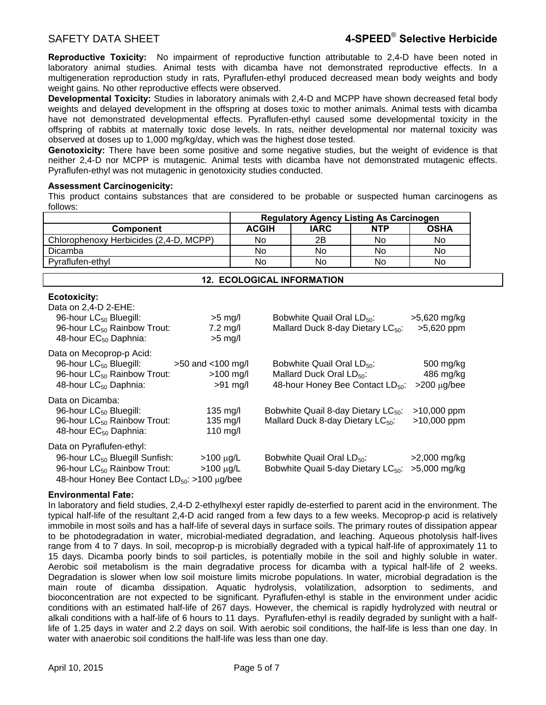**Reproductive Toxicity:** No impairment of reproductive function attributable to 2,4-D have been noted in laboratory animal studies. Animal tests with dicamba have not demonstrated reproductive effects. In a multigeneration reproduction study in rats, Pyraflufen-ethyl produced decreased mean body weights and body weight gains. No other reproductive effects were observed.

**Developmental Toxicity:** Studies in laboratory animals with 2,4-D and MCPP have shown decreased fetal body weights and delayed development in the offspring at doses toxic to mother animals. Animal tests with dicamba have not demonstrated developmental effects. Pyraflufen-ethyl caused some developmental toxicity in the offspring of rabbits at maternally toxic dose levels. In rats, neither developmental nor maternal toxicity was observed at doses up to 1,000 mg/kg/day, which was the highest dose tested.

**Genotoxicity:** There have been some positive and some negative studies, but the weight of evidence is that neither 2,4-D nor MCPP is mutagenic. Animal tests with dicamba have not demonstrated mutagenic effects. Pyraflufen-ethyl was not mutagenic in genotoxicity studies conducted.

# **Assessment Carcinogenicity:**

This product contains substances that are considered to be probable or suspected human carcinogens as follows:

|                                                                                                                                                                         | <b>Regulatory Agency Listing As Carcinogen</b>      |              |                                                                                  |                                                 |                                            |  |
|-------------------------------------------------------------------------------------------------------------------------------------------------------------------------|-----------------------------------------------------|--------------|----------------------------------------------------------------------------------|-------------------------------------------------|--------------------------------------------|--|
| Component                                                                                                                                                               |                                                     | <b>ACGIH</b> | <b>IARC</b>                                                                      | <b>NTP</b>                                      | <b>OSHA</b>                                |  |
| Chlorophenoxy Herbicides (2,4-D, MCPP)                                                                                                                                  |                                                     | No.          | 2B                                                                               | No.                                             | No                                         |  |
| Dicamba                                                                                                                                                                 |                                                     | No.          | No.                                                                              | No.                                             | No.                                        |  |
| Pyraflufen-ethyl                                                                                                                                                        |                                                     | No           | No.                                                                              | No                                              | No                                         |  |
| <b>12. ECOLOGICAL INFORMATION</b>                                                                                                                                       |                                                     |              |                                                                                  |                                                 |                                            |  |
| <b>Ecotoxicity:</b><br>Data on $2,4$ -D $2$ -EHE:<br>96-hour LC <sub>50</sub> Bluegill:<br>96-hour LC <sub>50</sub> Rainbow Trout:<br>48-hour EC <sub>50</sub> Daphnia: | $>5$ mg/l<br>$7.2 \text{ mg/l}$<br>$>5$ mg/l        |              | Bobwhite Quail Oral LD <sub>50</sub> :<br>Mallard Duck 8-day Dietary $LC_{50}$ : |                                                 | >5,620 mg/kg<br>>5,620 ppm                 |  |
| Data on Mecoprop-p Acid:<br>96-hour LC <sub>50</sub> Bluegill:<br>96-hour LC <sub>50</sub> Rainbow Trout:<br>48-hour LC <sub>50</sub> Daphnia:                          | $>50$ and $< 100$ mg/l<br>$>100$ mg/l<br>$>91$ mg/l |              | Bobwhite Quail Oral LD <sub>50</sub> :<br>Mallard Duck Oral LD <sub>50</sub> :   | 48-hour Honey Bee Contact LD <sub>50</sub> :    | 500 mg/kg<br>486 mg/kg<br>$>200 \mu g/bee$ |  |
| Data on Dicamba:<br>96-hour LC <sub>50</sub> Bluegill:<br>96-hour LC <sub>50</sub> Rainbow Trout:<br>48-hour EC <sub>50</sub> Daphnia:                                  | 135 mg/l<br>$135 \text{ mg/l}$<br>110 mg/l          |              | Mallard Duck 8-day Dietary LC <sub>50</sub> :                                    | Bobwhite Quail 8-day Dietary LC <sub>50</sub> : | $>10,000$ ppm<br>>10,000 ppm               |  |

| Data on Pyraflufen-ethyl:                              |           |                                                       |                |
|--------------------------------------------------------|-----------|-------------------------------------------------------|----------------|
| 96-hour LC <sub>50</sub> Bluegill Sunfish:             | >100 ug/L | Bobwhite Quail Oral LD <sub>50</sub> :                | $>2,000$ mg/kg |
| 96-hour $LC_{50}$ Rainbow Trout:                       | >100 แg/L | Bobwhite Quail 5-day Dietary $LC_{50}$ : >5,000 mg/kg |                |
| 48-hour Honey Bee Contact $LD_{50}$ : >100 $\mu$ g/bee |           |                                                       |                |

# **Environmental Fate:**

In laboratory and field studies, 2,4-D 2-ethylhexyl ester rapidly de-esterfied to parent acid in the environment. The typical half-life of the resultant 2,4-D acid ranged from a few days to a few weeks. Mecoprop-p acid is relatively immobile in most soils and has a half-life of several days in surface soils. The primary routes of dissipation appear to be photodegradation in water, microbial-mediated degradation, and leaching. Aqueous photolysis half-lives range from 4 to 7 days. In soil, mecoprop-p is microbially degraded with a typical half-life of approximately 11 to 15 days. Dicamba poorly binds to soil particles, is potentially mobile in the soil and highly soluble in water. Aerobic soil metabolism is the main degradative process for dicamba with a typical half-life of 2 weeks. Degradation is slower when low soil moisture limits microbe populations. In water, microbial degradation is the main route of dicamba dissipation. Aquatic hydrolysis, volatilization, adsorption to sediments, and bioconcentration are not expected to be significant. Pyraflufen-ethyl is stable in the environment under acidic conditions with an estimated half-life of 267 days. However, the chemical is rapidly hydrolyzed with neutral or alkali conditions with a half-life of 6 hours to 11 days. Pyraflufen-ethyl is readily degraded by sunlight with a halflife of 1.25 days in water and 2.2 days on soil. With aerobic soil conditions, the half-life is less than one day. In water with anaerobic soil conditions the half-life was less than one day.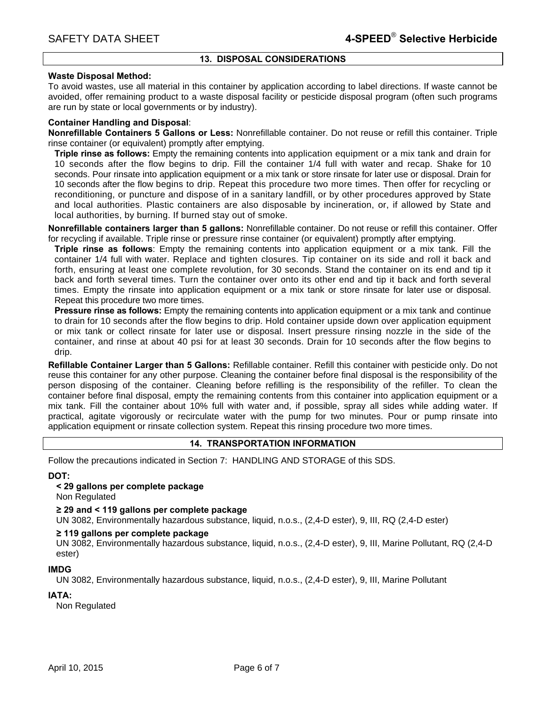# **13. DISPOSAL CONSIDERATIONS**

## **Waste Disposal Method:**

To avoid wastes, use all material in this container by application according to label directions. If waste cannot be avoided, offer remaining product to a waste disposal facility or pesticide disposal program (often such programs are run by state or local governments or by industry).

# **Container Handling and Disposal**:

**Nonrefillable Containers 5 Gallons or Less:** Nonrefillable container. Do not reuse or refill this container. Triple rinse container (or equivalent) promptly after emptying.

**Triple rinse as follows:** Empty the remaining contents into application equipment or a mix tank and drain for 10 seconds after the flow begins to drip. Fill the container 1/4 full with water and recap. Shake for 10 seconds. Pour rinsate into application equipment or a mix tank or store rinsate for later use or disposal. Drain for 10 seconds after the flow begins to drip. Repeat this procedure two more times. Then offer for recycling or reconditioning, or puncture and dispose of in a sanitary landfill, or by other procedures approved by State and local authorities. Plastic containers are also disposable by incineration, or, if allowed by State and local authorities, by burning. If burned stay out of smoke.

**Nonrefillable containers larger than 5 gallons:** Nonrefillable container. Do not reuse or refill this container. Offer for recycling if available. Triple rinse or pressure rinse container (or equivalent) promptly after emptying.

**Triple rinse as follows**: Empty the remaining contents into application equipment or a mix tank. Fill the container 1/4 full with water. Replace and tighten closures. Tip container on its side and roll it back and forth, ensuring at least one complete revolution, for 30 seconds. Stand the container on its end and tip it back and forth several times. Turn the container over onto its other end and tip it back and forth several times. Empty the rinsate into application equipment or a mix tank or store rinsate for later use or disposal. Repeat this procedure two more times.

**Pressure rinse as follows:** Empty the remaining contents into application equipment or a mix tank and continue to drain for 10 seconds after the flow begins to drip. Hold container upside down over application equipment or mix tank or collect rinsate for later use or disposal. Insert pressure rinsing nozzle in the side of the container, and rinse at about 40 psi for at least 30 seconds. Drain for 10 seconds after the flow begins to drip.

**Refillable Container Larger than 5 Gallons:** Refillable container. Refill this container with pesticide only. Do not reuse this container for any other purpose. Cleaning the container before final disposal is the responsibility of the person disposing of the container. Cleaning before refilling is the responsibility of the refiller. To clean the container before final disposal, empty the remaining contents from this container into application equipment or a mix tank. Fill the container about 10% full with water and, if possible, spray all sides while adding water. If practical, agitate vigorously or recirculate water with the pump for two minutes. Pour or pump rinsate into application equipment or rinsate collection system. Repeat this rinsing procedure two more times.

# **14. TRANSPORTATION INFORMATION**

Follow the precautions indicated in Section 7: HANDLING AND STORAGE of this SDS.

# **DOT:**

**< 29 gallons per complete package**

Non Regulated

## **≥ 29 and < 119 gallons per complete package**

UN 3082, Environmentally hazardous substance, liquid, n.o.s., (2,4-D ester), 9, III, RQ (2,4-D ester)

## **≥ 119 gallons per complete package**

UN 3082, Environmentally hazardous substance, liquid, n.o.s., (2,4-D ester), 9, III, Marine Pollutant, RQ (2,4-D ester)

## **IMDG**

UN 3082, Environmentally hazardous substance, liquid, n.o.s., (2,4-D ester), 9, III, Marine Pollutant

# **IATA:**

Non Regulated